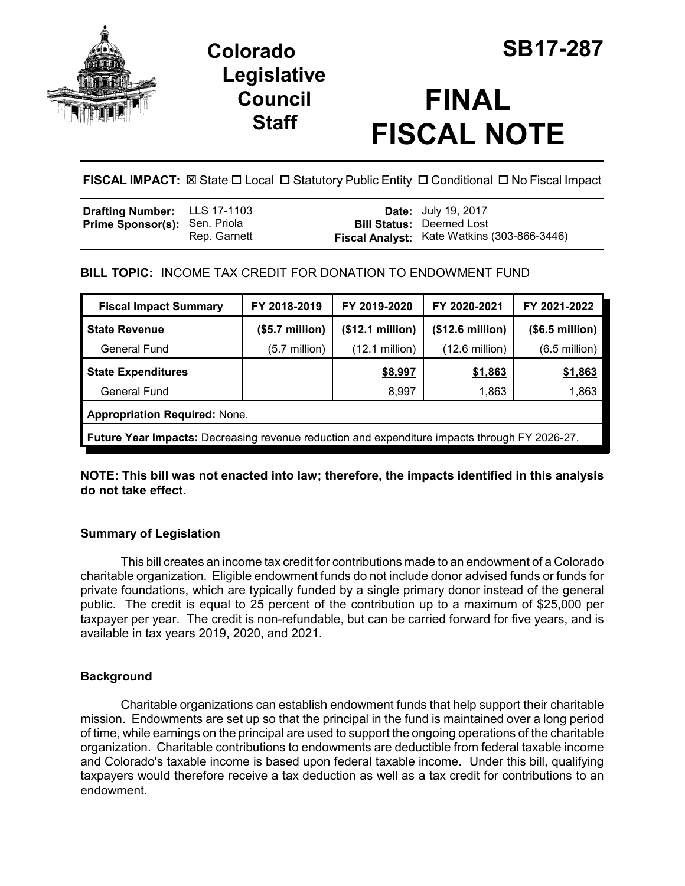

# **Colorado SB17-287 Legislative Council Staff**

# **FINAL FISCAL NOTE**

**FISCAL IMPACT:**  $\boxtimes$  State  $\Box$  Local  $\Box$  Statutory Public Entity  $\Box$  Conditional  $\Box$  No Fiscal Impact

| <b>Drafting Number:</b> LLS 17-1103  |              | <b>Date:</b> July 19, 2017                  |
|--------------------------------------|--------------|---------------------------------------------|
| <b>Prime Sponsor(s): Sen. Priola</b> |              | <b>Bill Status: Deemed Lost</b>             |
|                                      | Rep. Garnett | Fiscal Analyst: Kate Watkins (303-866-3446) |

# **BILL TOPIC:** INCOME TAX CREDIT FOR DONATION TO ENDOWMENT FUND

| <b>Fiscal Impact Summary</b>                                                                         | FY 2018-2019    | FY 2019-2020             | FY 2020-2021             | FY 2021-2022    |  |  |  |
|------------------------------------------------------------------------------------------------------|-----------------|--------------------------|--------------------------|-----------------|--|--|--|
| <b>State Revenue</b>                                                                                 | (\$5.7 million) | (\$12.1 million)         | (\$12.6 million)         | (\$6.5 million) |  |  |  |
| <b>General Fund</b>                                                                                  | (5.7 million)   | $(12.1 \text{ million})$ | $(12.6 \text{ million})$ | $(6.5$ million) |  |  |  |
| <b>State Expenditures</b>                                                                            |                 | \$8,997                  | \$1,863                  | \$1,863         |  |  |  |
| General Fund                                                                                         |                 | 8,997                    | 1,863                    | 1,863           |  |  |  |
| <b>Appropriation Required: None.</b>                                                                 |                 |                          |                          |                 |  |  |  |
| <b>Future Year Impacts:</b> Decreasing revenue reduction and expenditure impacts through FY 2026-27. |                 |                          |                          |                 |  |  |  |

**NOTE: This bill was not enacted into law; therefore, the impacts identified in this analysis do not take effect.**

# **Summary of Legislation**

This bill creates an income tax credit for contributions made to an endowment of a Colorado charitable organization. Eligible endowment funds do not include donor advised funds or funds for private foundations, which are typically funded by a single primary donor instead of the general public. The credit is equal to 25 percent of the contribution up to a maximum of \$25,000 per taxpayer per year. The credit is non-refundable, but can be carried forward for five years, and is available in tax years 2019, 2020, and 2021.

# **Background**

Charitable organizations can establish endowment funds that help support their charitable mission. Endowments are set up so that the principal in the fund is maintained over a long period of time, while earnings on the principal are used to support the ongoing operations of the charitable organization. Charitable contributions to endowments are deductible from federal taxable income and Colorado's taxable income is based upon federal taxable income. Under this bill, qualifying taxpayers would therefore receive a tax deduction as well as a tax credit for contributions to an endowment.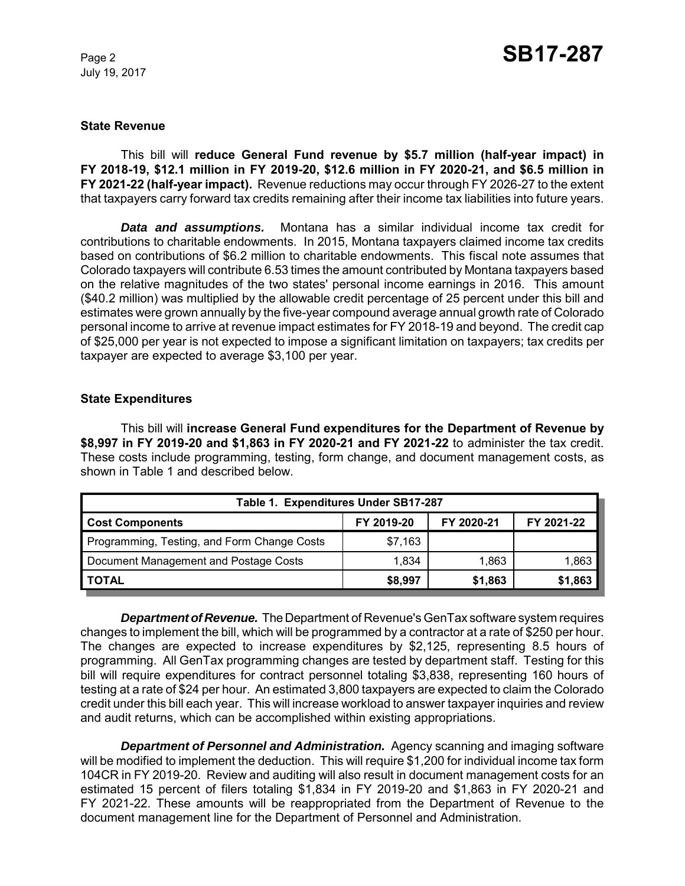July 19, 2017

#### **State Revenue**

This bill will **reduce General Fund revenue by \$5.7 million (half-year impact) in FY 2018-19, \$12.1 million in FY 2019-20, \$12.6 million in FY 2020-21, and \$6.5 million in FY 2021-22 (half-year impact).** Revenue reductions may occur through FY 2026-27 to the extent that taxpayers carry forward tax credits remaining after their income tax liabilities into future years.

*Data and assumptions.* Montana has a similar individual income tax credit for contributions to charitable endowments. In 2015, Montana taxpayers claimed income tax credits based on contributions of \$6.2 million to charitable endowments. This fiscal note assumes that Colorado taxpayers will contribute 6.53 times the amount contributed by Montana taxpayers based on the relative magnitudes of the two states' personal income earnings in 2016. This amount (\$40.2 million) was multiplied by the allowable credit percentage of 25 percent under this bill and estimates were grown annually by the five-year compound average annual growth rate of Colorado personal income to arrive at revenue impact estimates for FY 2018-19 and beyond. The credit cap of \$25,000 per year is not expected to impose a significant limitation on taxpayers; tax credits per taxpayer are expected to average \$3,100 per year.

#### **State Expenditures**

This bill will **increase General Fund expenditures for the Department of Revenue by \$8,997 in FY 2019-20 and \$1,863 in FY 2020-21 and FY 2021-22** to administer the tax credit. These costs include programming, testing, form change, and document management costs, as shown in Table 1 and described below.

| Table 1. Expenditures Under SB17-287        |            |            |            |  |  |  |  |
|---------------------------------------------|------------|------------|------------|--|--|--|--|
| <b>Cost Components</b>                      | FY 2019-20 | FY 2020-21 | FY 2021-22 |  |  |  |  |
| Programming, Testing, and Form Change Costs | \$7,163    |            |            |  |  |  |  |
| Document Management and Postage Costs       | 1.834      | 1,863      | 1,863      |  |  |  |  |
| I TOTAL                                     | \$8,997    | \$1,863    | \$1,863    |  |  |  |  |

*Department of Revenue.* The Department of Revenue's GenTax software system requires changes to implement the bill, which will be programmed by a contractor at a rate of \$250 per hour. The changes are expected to increase expenditures by \$2,125, representing 8.5 hours of programming. All GenTax programming changes are tested by department staff. Testing for this bill will require expenditures for contract personnel totaling \$3,838, representing 160 hours of testing at a rate of \$24 per hour. An estimated 3,800 taxpayers are expected to claim the Colorado credit under this bill each year. This will increase workload to answer taxpayer inquiries and review and audit returns, which can be accomplished within existing appropriations.

*Department of Personnel and Administration.* Agency scanning and imaging software will be modified to implement the deduction. This will require \$1,200 for individual income tax form 104CR in FY 2019-20. Review and auditing will also result in document management costs for an estimated 15 percent of filers totaling \$1,834 in FY 2019-20 and \$1,863 in FY 2020-21 and FY 2021-22. These amounts will be reappropriated from the Department of Revenue to the document management line for the Department of Personnel and Administration.